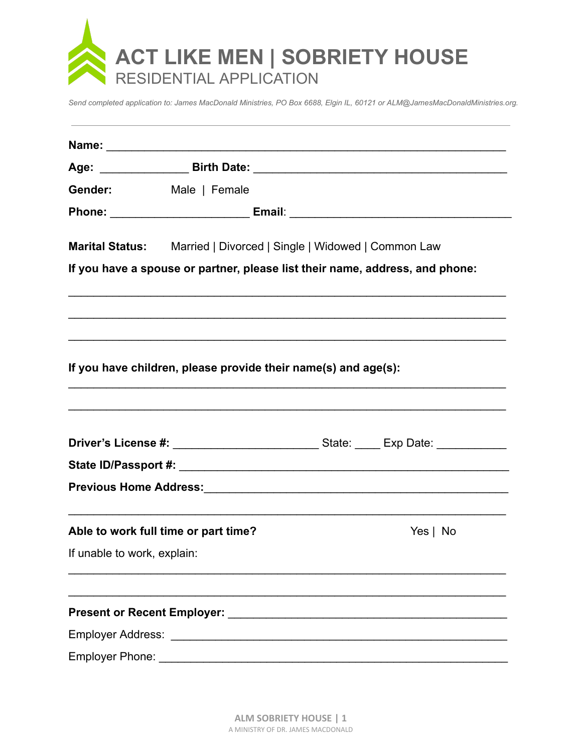

Send completed application to: James MacDonald Ministries, PO Box 6688, Elgin IL, 60121 or ALM@JamesMacDonaldMinistries.org.

|                                      | Gender: Male   Female                                                        |          |
|--------------------------------------|------------------------------------------------------------------------------|----------|
|                                      |                                                                              |          |
|                                      | Marital Status: Married   Divorced   Single   Widowed   Common Law           |          |
|                                      | If you have a spouse or partner, please list their name, address, and phone: |          |
|                                      |                                                                              |          |
|                                      | If you have children, please provide their name(s) and age(s):               |          |
|                                      |                                                                              |          |
|                                      |                                                                              |          |
|                                      |                                                                              |          |
| Able to work full time or part time? |                                                                              | Yes   No |
| If unable to work, explain:          |                                                                              |          |
|                                      |                                                                              |          |
|                                      |                                                                              |          |
|                                      |                                                                              |          |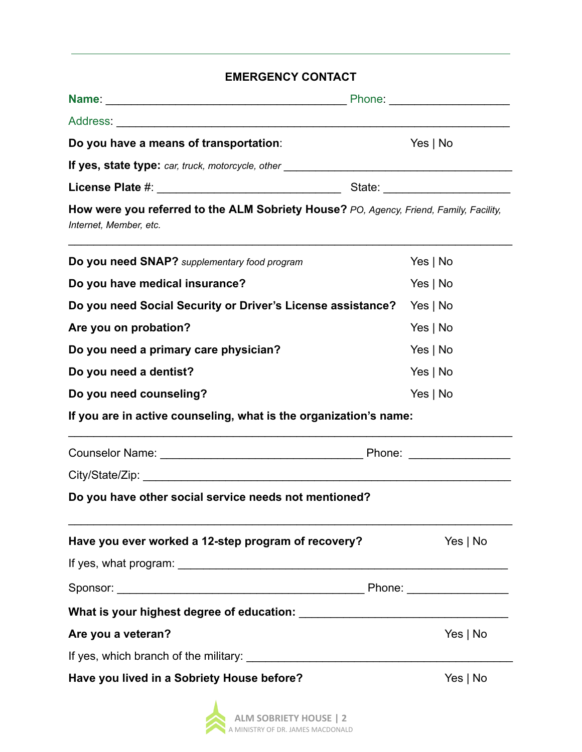# **EMERGENCY CONTACT**

| Do you have a means of transportation:                                                                           | Yes   No   |
|------------------------------------------------------------------------------------------------------------------|------------|
| If yes, state type: car, truck, motorcycle, other ______________________________                                 |            |
|                                                                                                                  |            |
| How were you referred to the ALM Sobriety House? PO, Agency, Friend, Family, Facility,<br>Internet, Member, etc. |            |
| Do you need SNAP? supplementary food program                                                                     | Yes $ $ No |
| Do you have medical insurance?                                                                                   | Yes   No   |
| Do you need Social Security or Driver's License assistance?                                                      | Yes   No   |
| Are you on probation?                                                                                            | Yes $ $ No |
| Do you need a primary care physician?                                                                            | Yes $ $ No |
| Do you need a dentist?                                                                                           | Yes $ $ No |
| Do you need counseling?                                                                                          | Yes $ $ No |
| If you are in active counseling, what is the organization's name:                                                |            |
|                                                                                                                  |            |
|                                                                                                                  |            |
| Do you have other social service needs not mentioned?                                                            |            |
| Have you ever worked a 12-step program of recovery?                                                              | Yes   No   |
|                                                                                                                  |            |
|                                                                                                                  |            |
|                                                                                                                  |            |
| Are you a veteran?                                                                                               | Yes   No   |
|                                                                                                                  |            |
| Have you lived in a Sobriety House before?                                                                       | Yes $ $ No |

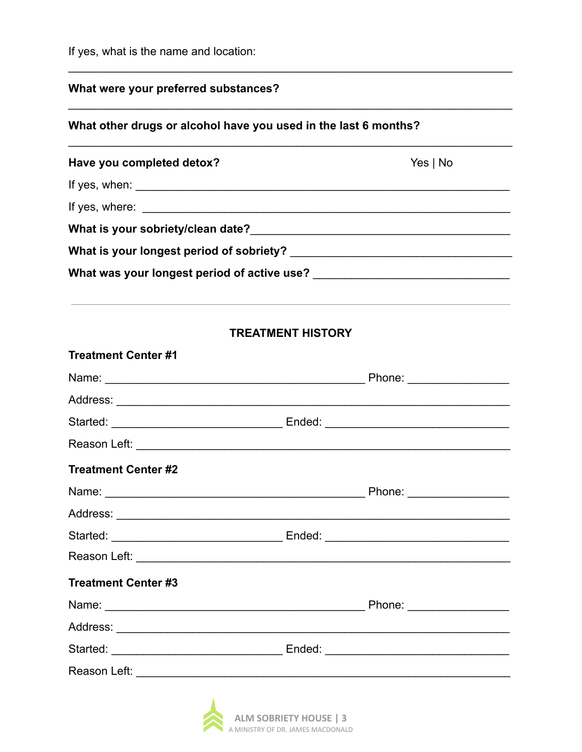If yes, what is the name and location:

# What were your preferred substances?

# What other drugs or alcohol have you used in the last 6 months?

| Have you completed detox?                                                                                                                                                                                                                                                                                          | Yes   No |  |  |
|--------------------------------------------------------------------------------------------------------------------------------------------------------------------------------------------------------------------------------------------------------------------------------------------------------------------|----------|--|--|
| If yes, when: $\sqrt{2\pi}$                                                                                                                                                                                                                                                                                        |          |  |  |
| If yes, where: $\frac{1}{2}$ $\frac{1}{2}$ $\frac{1}{2}$ $\frac{1}{2}$ $\frac{1}{2}$ $\frac{1}{2}$ $\frac{1}{2}$ $\frac{1}{2}$ $\frac{1}{2}$ $\frac{1}{2}$ $\frac{1}{2}$ $\frac{1}{2}$ $\frac{1}{2}$ $\frac{1}{2}$ $\frac{1}{2}$ $\frac{1}{2}$ $\frac{1}{2}$ $\frac{1}{2}$ $\frac{1}{2}$ $\frac{1}{2}$ $\frac{1}{$ |          |  |  |
| What is your sobriety/clean date?                                                                                                                                                                                                                                                                                  |          |  |  |
| What is your longest period of sobriety?                                                                                                                                                                                                                                                                           |          |  |  |
| What was your longest period of active use?                                                                                                                                                                                                                                                                        |          |  |  |

# **TREATMENT HISTORY**

| <b>Treatment Center #1</b>                                                                                                                                                                                                    |                                      |
|-------------------------------------------------------------------------------------------------------------------------------------------------------------------------------------------------------------------------------|--------------------------------------|
|                                                                                                                                                                                                                               |                                      |
|                                                                                                                                                                                                                               |                                      |
|                                                                                                                                                                                                                               |                                      |
|                                                                                                                                                                                                                               |                                      |
| <b>Treatment Center #2</b>                                                                                                                                                                                                    |                                      |
|                                                                                                                                                                                                                               |                                      |
|                                                                                                                                                                                                                               |                                      |
|                                                                                                                                                                                                                               |                                      |
|                                                                                                                                                                                                                               |                                      |
| <b>Treatment Center #3</b>                                                                                                                                                                                                    |                                      |
| Name: Name: Name: Name: Name: Name: Name: Name: Name: Name: Name: Name: Name: Name: Name: Name: Name: Name: Name: Name: Name: Name: Name: Name: Name: Name: Name: Name: Name: Name: Name: Name: Name: Name: Name: Name: Name: | Phone: <u>______________________</u> |
|                                                                                                                                                                                                                               |                                      |
|                                                                                                                                                                                                                               |                                      |
|                                                                                                                                                                                                                               |                                      |
| the contract of the contract of the                                                                                                                                                                                           |                                      |

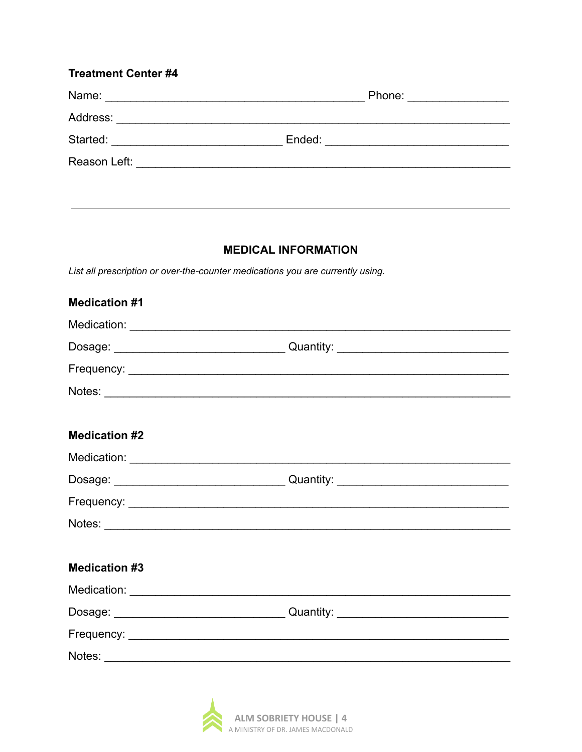| <b>Treatment Center #4</b>                            |                         |  |
|-------------------------------------------------------|-------------------------|--|
|                                                       | Phone: ________________ |  |
|                                                       |                         |  |
|                                                       |                         |  |
| Reason Left: <u>_________________________________</u> |                         |  |
|                                                       |                         |  |

#### **MEDICAL INFORMATION**

List all prescription or over-the-counter medications you are currently using.

| <b>Medication #1</b> |  |
|----------------------|--|
|                      |  |
|                      |  |
|                      |  |
|                      |  |
|                      |  |
| <b>Medication #2</b> |  |
|                      |  |
|                      |  |
|                      |  |
|                      |  |
|                      |  |
| <b>Medication #3</b> |  |
|                      |  |
|                      |  |
|                      |  |
|                      |  |
|                      |  |

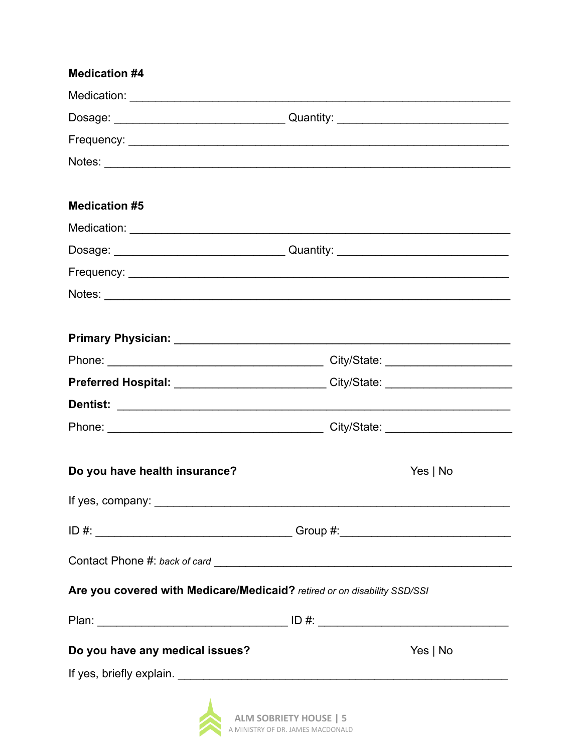### **Medication #4**

|                                                                          | Notes:                                                                                          |
|--------------------------------------------------------------------------|-------------------------------------------------------------------------------------------------|
|                                                                          |                                                                                                 |
| <b>Medication #5</b>                                                     |                                                                                                 |
|                                                                          |                                                                                                 |
|                                                                          |                                                                                                 |
|                                                                          |                                                                                                 |
|                                                                          |                                                                                                 |
|                                                                          |                                                                                                 |
|                                                                          |                                                                                                 |
|                                                                          |                                                                                                 |
|                                                                          | Preferred Hospital: __________________________City/State: ______________________                |
|                                                                          |                                                                                                 |
|                                                                          |                                                                                                 |
|                                                                          |                                                                                                 |
| Do you have health insurance?                                            | Yes   No                                                                                        |
|                                                                          |                                                                                                 |
|                                                                          |                                                                                                 |
|                                                                          |                                                                                                 |
| Are you covered with Medicare/Medicaid? retired or on disability SSD/SSI |                                                                                                 |
|                                                                          |                                                                                                 |
| Do you have any medical issues?                                          | Yes   No                                                                                        |
|                                                                          |                                                                                                 |
|                                                                          | where the contract of the contract of the contract of the contract of the contract of $\Lambda$ |

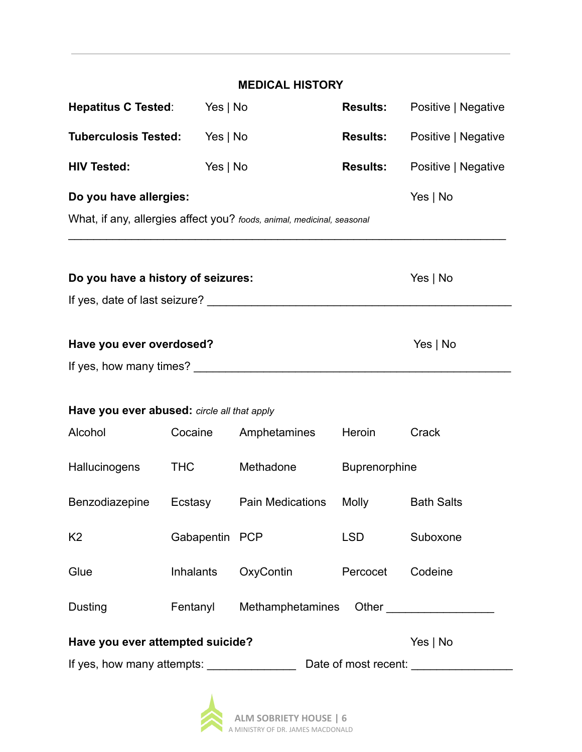|                                                    |                  | <b>MEDICAL HISTORY</b>                                                 |                      |                        |
|----------------------------------------------------|------------------|------------------------------------------------------------------------|----------------------|------------------------|
| <b>Hepatitus C Tested:</b>                         | Yes   No         |                                                                        | <b>Results:</b>      | Positive   Negative    |
| <b>Tuberculosis Tested:</b>                        | Yes $ $ No       |                                                                        | <b>Results:</b>      | Positive   Negative    |
| <b>HIV Tested:</b>                                 | Yes   No         |                                                                        | <b>Results:</b>      | Positive   Negative    |
| Do you have allergies:                             |                  |                                                                        |                      | Yes $ $ No             |
|                                                    |                  | What, if any, allergies affect you? foods, animal, medicinal, seasonal |                      |                        |
|                                                    |                  |                                                                        |                      |                        |
| Do you have a history of seizures:                 |                  |                                                                        |                      | Yes $ $ No             |
|                                                    |                  |                                                                        |                      |                        |
|                                                    |                  |                                                                        |                      |                        |
| Have you ever overdosed?<br>Yes   No               |                  |                                                                        |                      |                        |
|                                                    |                  |                                                                        |                      |                        |
| Have you ever abused: circle all that apply        |                  |                                                                        |                      |                        |
| Alcohol                                            | Cocaine          | Amphetamines                                                           | Heroin               | Crack                  |
| <b>Hallucinogens</b>                               | <b>THC</b>       | Methadone                                                              | <b>Buprenorphine</b> |                        |
| Benzodiazepine                                     | Ecstasy          | <b>Pain Medications</b>                                                | Molly                | <b>Bath Salts</b>      |
|                                                    |                  |                                                                        |                      |                        |
| K <sub>2</sub>                                     | Gabapentin PCP   |                                                                        | <b>LSD</b>           | Suboxone               |
| Glue                                               | <b>Inhalants</b> | OxyContin                                                              | Percocet             | Codeine                |
| Dusting                                            | Fentanyl         | Methamphetamines                                                       |                      | <b>Other Community</b> |
| Have you ever attempted suicide?<br>Yes   No       |                  |                                                                        |                      |                        |
| If yes, how many attempts:<br>Date of most recent: |                  |                                                                        |                      |                        |